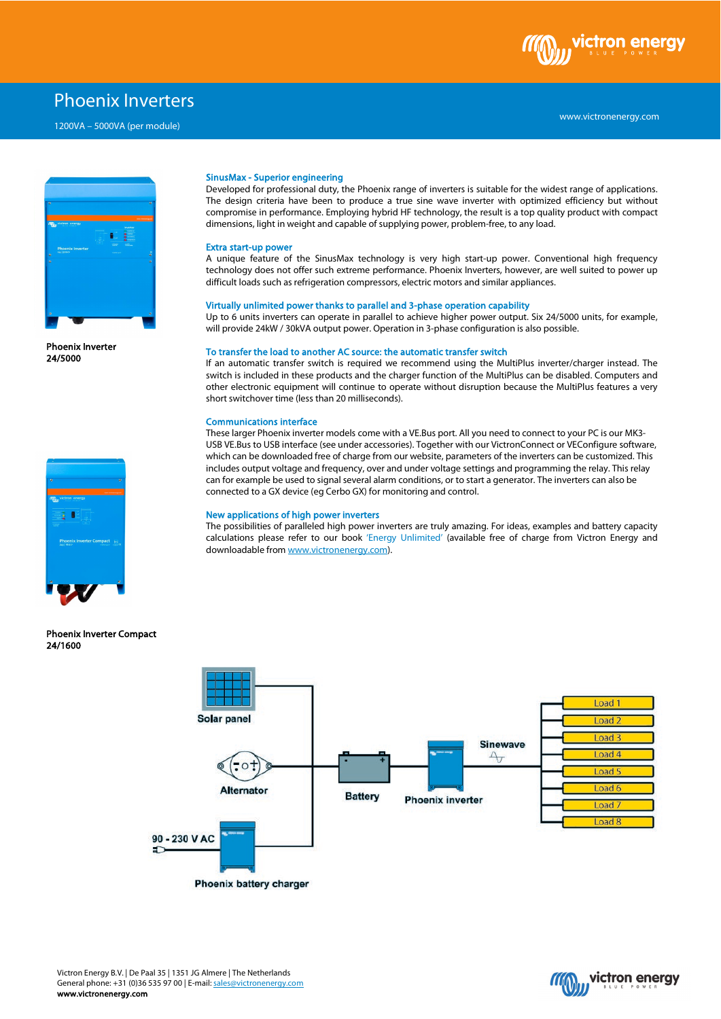

# Phoenix Inverters

1200VA – 5000VA (per module)



Phoenix Inverter 24/5000



Phoenix Inverter Compact 24/1600

## SinusMax - Superior engineering

Developed for professional duty, the Phoenix range of inverters is suitable for the widest range of applications. The design criteria have been to produce a true sine wave inverter with optimized efficiency but without compromise in performance. Employing hybrid HF technology, the result is a top quality product with compact dimensions, light in weight and capable of supplying power, problem-free, to any load.

#### Extra start-up power

A unique feature of the SinusMax technology is very high start-up power. Conventional high frequency technology does not offer such extreme performance. Phoenix Inverters, however, are well suited to power up difficult loads such as refrigeration compressors, electric motors and similar appliances.

#### Virtually unlimited power thanks to parallel and 3-phase operation capability

Up to 6 units inverters can operate in parallel to achieve higher power output. Six 24/5000 units, for example, will provide 24kW / 30kVA output power. Operation in 3-phase configuration is also possible.

#### To transfer the load to another AC source: the automatic transfer switch

If an automatic transfer switch is required we recommend using the MultiPlus inverter/charger instead. The switch is included in these products and the charger function of the MultiPlus can be disabled. Computers and other electronic equipment will continue to operate without disruption because the MultiPlus features a very short switchover time (less than 20 milliseconds).

### Communications interface

These larger Phoenix inverter models come with a VE.Bus port. All you need to connect to your PC is our MK3- USB VE.Bus to USB interface (see under accessories). Together with our VictronConnect or VEConfigure software, which can be downloaded free of charge from our website, parameters of the inverters can be customized. This includes output voltage and frequency, over and under voltage settings and programming the relay. This relay can for example be used to signal several alarm conditions, or to start a generator. The inverters can also be connected to a GX device (eg Cerbo GX) for monitoring and control.

#### New applications of high power inverters

The possibilities of paralleled high power inverters are truly amazing. For ideas, examples and battery capacity calculations please refer to our book 'Energy Unlimited' (available free of charge from Victron Energy and downloadable fro[m www.victronenergy.com\)](http://www.victronenergy.com/).